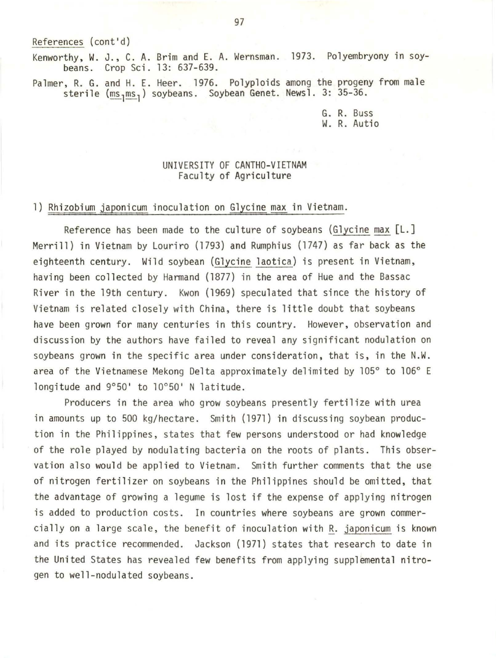References (cont'd)

Kenworthy, W. J., C. A. Brim and E. A. Wernsman. 1973. Polyembryony in soybeans. Crop Sci. 13: 637-639.

Palmer, R. G. and H. E. Heer. 1976. Polyploids among the progeny from male sterile (ms<sub>l</sub>ms<sub>l</sub>) soybeans. Soybean Genet. Newsl. 3: 35-36.

> G. R. Buss W. R. Autio

#### UNIVERSITY OF CANTHO-VIETNAM Faculty of Agriculture

#### 1) Rhizobium japonicum inoculation on Glycine max in Vietnam.

Reference has been made to the culture of soybeans (Glycine max [L.] Merrill) in Vietnam by Louriro (1793) and Rumphius (1747) as far back as the eighteenth century. Wild soybean (Glycine laotica) is present in Vietnam, having been collected by Harmand (1877) in the area of Hue and the Bassac River in the 19th century. Kwon (1969) speculated that since the history of Vietnam is related closely with China, there is little doubt that soybeans have been grown for many centuries in this country. However, observation and discussion by the authors have failed to reveal any significant nodulation on soybeans grown in the specific area under consideration, that is, in the N.W. area of the Vietnamese Mekong Delta approximately delimited by 105° to 106° E longitude and 9°50' to 10°50' N latitude.

Producers in the area who grow soybeans presently fertilize with urea in amounts up to 500 kg/hectare. Smith (1971) in discussing soybean production in the Philippines, states that few persons understood or had knowledge of the role played by nodulating bacteria on the roots of plants. This observation also would be applied to Vietnam. Smith further comments that the use of nitrogen fertilizer on soybeans in the Philippines should be omitted, that the advantage of growing a legume is lost if the expense of applying nitrogen is added to production costs. In countries where soybeans are grown commercially on a large scale, the benefit of inoculation with R. japonicum is known and its practice recommended. Jackson (1971) states that research to date in the United States has revealed few benefits from applying supplemental nitrogen to well-nodulated soybeans.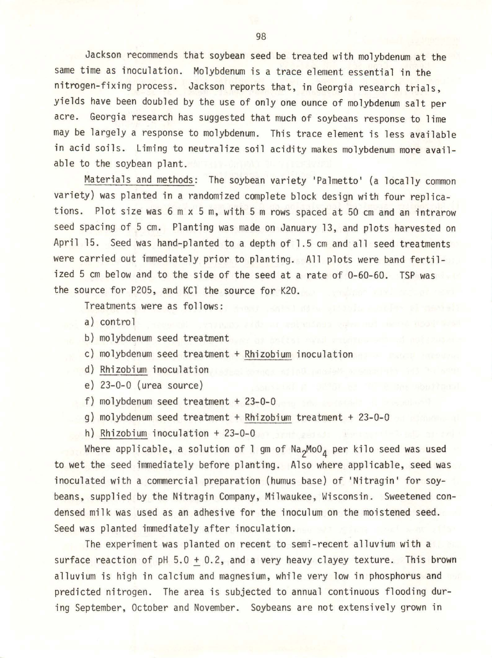Jackson recommends that soybean seed be treated with molybdenum at the same time as inoculation. Molybdenum is a trace element essential in the nitrogen-fixing process. Jackson reports that, in Georgia research trials, yields have been doubled by the use of only one ounce of molybdenum salt per acre. Georgia research has suggested that much of soybeans response to lime may be largely a response to molybdenum. This trace element is less available in acid soils. Liming to neutralize soil acidity makes molybdenum more available to the soybean plant.

Materials and methods: The soybean variety 'Palmetto' (a locally common variety) was planted in a randomized complete block design with four replications. Plot size was 6 m x 5 m, with 5 m rows spaced at 50 cm and an intrarow seed spacing of 5 cm. Planting was made on January 13, and plots harvested on April 15. Seed was hand-planted to a depth of 1.5 cm and all seed treatments were carried out immediately prior to planting. All plots were band fertilized 5 cm below and to the side of the seed at a rate of 0-60-60. TSP was the source for P205, and KCl the source for K20.

Treatments were as follows:

a) control

b) molybdenum seed treatment

c) molybdenum seed treatment + Rhizobium inoculation

d) Rhizobium inoculation

e) 23-0-0 (urea source)

f) molybdenum seed treatment + 23-0-0

g) molybdenum seed treatment + Rhizobium treatment + 23-0-0

h) Rhizobium inoculation + 23-0-0

Where applicable, a solution of l gm of Na<sub>2</sub>MoO<sub>4</sub> per kilo seed was used to wet the seed immediately before planting. Also where applicable, seed was inoculated with a commercial preparation (humus base) of 'Nitragin' for soybeans, supplied by the Nitragin Company, Milwaukee, Wisconsin. Sweetened condensed milk was used as an adhesive for the inoculum on the moistened seed. Seed was planted immediately after inoculation .

The experiment was planted on recent to semi-recent alluvium with a surface reaction of  $pH$  5.0 + 0.2, and a very heavy clayey texture. This brown alluvium is high in calcium and magnesium, while very low in phosphorus and predicted nitrogen. The area is subjected to annual continuous flooding during September, October and November. Soybeans are not extensively grown in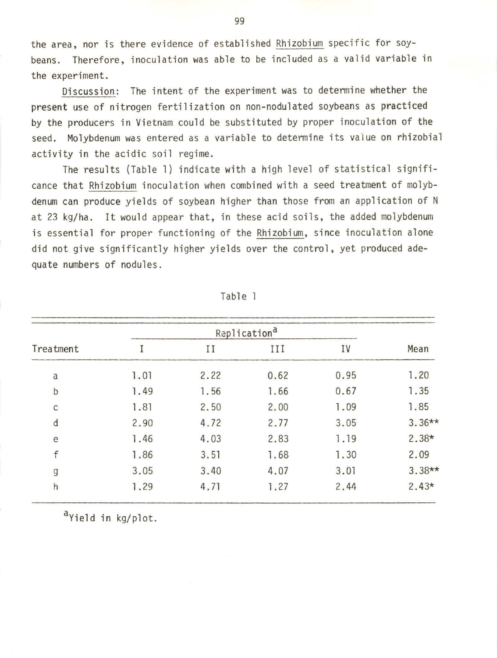the area, nor is there evidence of established Rhizobium specific for soybeans. Therefore, inoculation was able to be included as a valid variable in the experiment.

Discussion: The intent of the experiment was to determine whether the present use of nitrogen fertilization on non-nodulated soybeans as practiced by the producers in Vietnam could be substituted by proper inoculation of the seed. Molybdenum was entered as a variable to detennine its value on rhizobial activity in the acidic soil regime.

The results (Table 1) indicate with a high level of statistical significance that Rhizobium inoculation when combined with a seed treatment of molybdenum can produce yields of soybean higher than those from an application of N at 23 kg/ha. It would appear that, in these acid soils, the added molybdenum is essential for proper functioning of the Rhizobium, since inoculation alone did not give significantly higher yields over the control, yet produced adequate numbers of nodules.

| Treatment     |      |      |      |      |          |
|---------------|------|------|------|------|----------|
|               | I    | II   | III  | IV   | Mean     |
| a             | 1.01 | 2.22 | 0.62 | 0.95 | 1.20     |
| $\sf b$       | 1.49 | 1.56 | 1.66 | 0.67 | 1.35     |
| $\mathsf{C}$  | 1.81 | 2.50 | 2.00 | 1.09 | 1.85     |
| $\mathsf{d}$  | 2.90 | 4.72 | 2.77 | 3.05 | $3.36**$ |
| e             | 1.46 | 4.03 | 2.83 | 1.19 | $2.38*$  |
| f             | 1.86 | 3.51 | 1.68 | 1.30 | 2.09     |
| $\mathfrak g$ | 3.05 | 3.40 | 4.07 | 3.01 | $3.38**$ |
| h             | 1.29 | 4.71 | 1.27 | 2.44 | $2.43*$  |

Table 1

a<sub>Yield</sub> in kg/plot.

99